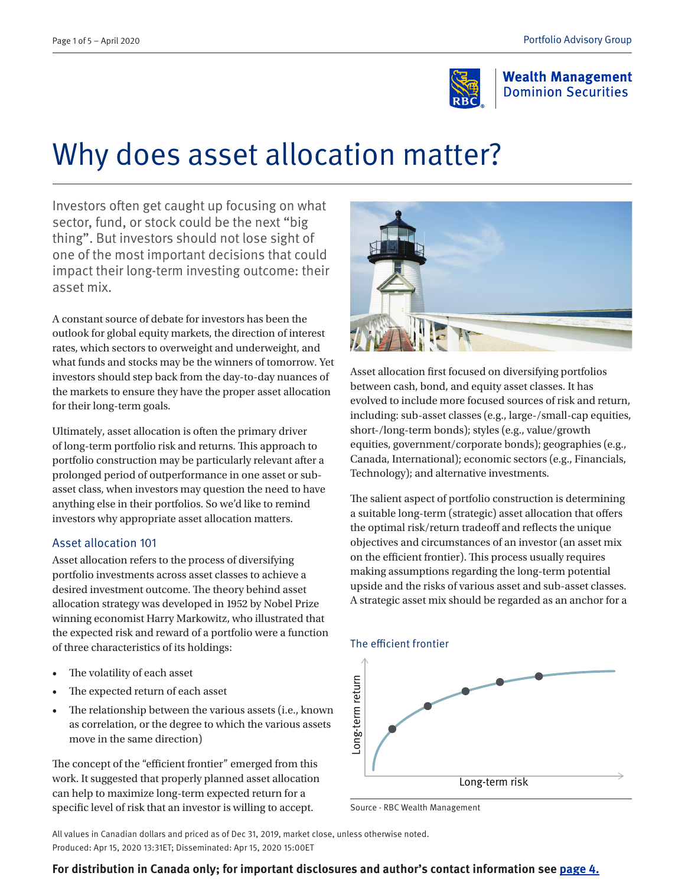

**Wealth Management Dominion Securities** 

# Why does asset allocation matter?

Investors often get caught up focusing on what sector, fund, or stock could be the next "big thing". But investors should not lose sight of one of the most important decisions that could impact their long-term investing outcome: their asset mix.

A constant source of debate for investors has been the outlook for global equity markets, the direction of interest rates, which sectors to overweight and underweight, and what funds and stocks may be the winners of tomorrow. Yet investors should step back from the day-to-day nuances of the markets to ensure they have the proper asset allocation for their long-term goals.

Ultimately, asset allocation is often the primary driver of long-term portfolio risk and returns. This approach to portfolio construction may be particularly relevant after a prolonged period of outperformance in one asset or subasset class, when investors may question the need to have anything else in their portfolios. So we'd like to remind investors why appropriate asset allocation matters.

#### Asset allocation 101

Asset allocation refers to the process of diversifying portfolio investments across asset classes to achieve a desired investment outcome. The theory behind asset allocation strategy was developed in 1952 by Nobel Prize winning economist Harry Markowitz, who illustrated that the expected risk and reward of a portfolio were a function of three characteristics of its holdings:

- The volatility of each asset
- The expected return of each asset
- The relationship between the various assets (i.e., known as correlation, or the degree to which the various assets move in the same direction)

The concept of the "efficient frontier" emerged from this work. It suggested that properly planned asset allocation can help to maximize long-term expected return for a specific level of risk that an investor is willing to accept.



Asset allocation first focused on diversifying portfolios between cash, bond, and equity asset classes. It has evolved to include more focused sources of risk and return, including: sub-asset classes (e.g., large-/small-cap equities, short-/long-term bonds); styles (e.g., value/growth equities, government/corporate bonds); geographies (e.g., Canada, International); economic sectors (e.g., Financials, Technology); and alternative investments.

The salient aspect of portfolio construction is determining a suitable long-term (strategic) asset allocation that offers the optimal risk/return tradeoff and reflects the unique objectives and circumstances of an investor (an asset mix on the efficient frontier). This process usually requires making assumptions regarding the long-term potential upside and the risks of various asset and sub-asset classes. A strategic asset mix should be regarded as an anchor for a

#### The efficient frontier



Source - RBC Wealth Management

All values in Canadian dollars and priced as of Dec 31, 2019, market close, unless otherwise noted. Produced: Apr 15, 2020 13:31ET; Disseminated: Apr 15, 2020 15:00ET

#### **For distribution in Canada only; for important disclosures and author's contact information see [page](#page-3-0) 4.**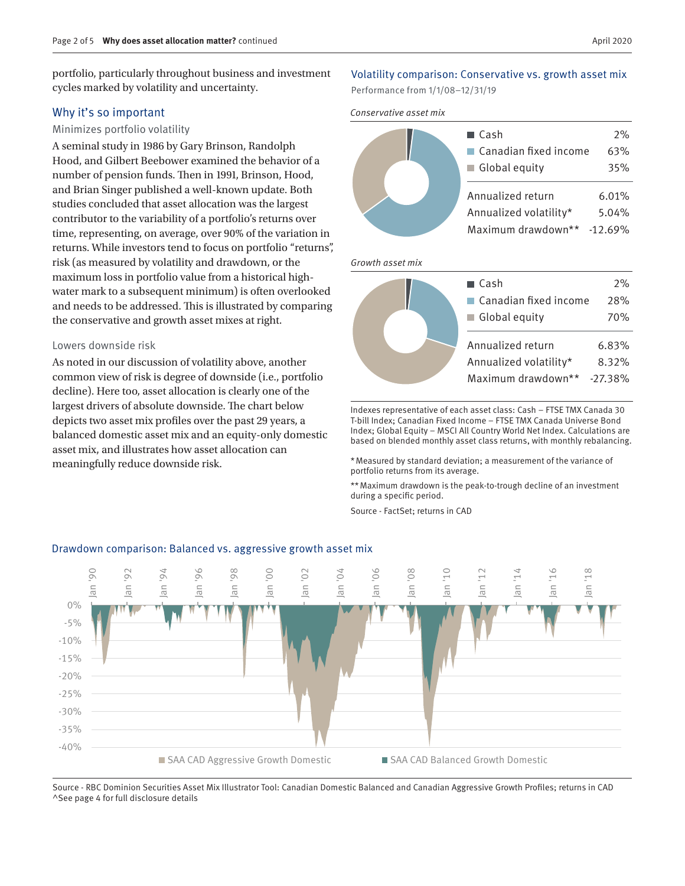portfolio, particularly throughout business and investment cycles marked by volatility and uncertainty.

#### Why it's so important

#### Minimizes portfolio volatility

A seminal study in 1986 by Gary Brinson, Randolph Hood, and Gilbert Beebower examined the behavior of a number of pension funds. Then in 1991, Brinson, Hood, and Brian Singer published a well-known update. Both studies concluded that asset allocation was the largest contributor to the variability of a portfolio's returns over time, representing, on average, over 90% of the variation in returns. While investors tend to focus on portfolio "returns", risk (as measured by volatility and drawdown, or the maximum loss in portfolio value from a historical highwater mark to a subsequent minimum) is often overlooked and needs to be addressed. This is illustrated by comparing the conservative and growth asset mixes at right.

#### Lowers downside risk

As noted in our discussion of volatility above, another common view of risk is degree of downside (i.e., portfolio decline). Here too, asset allocation is clearly one of the largest drivers of absolute downside. The chart below depicts two asset mix profiles over the past 29 years, a balanced domestic asset mix and an equity-only domestic asset mix, and illustrates how asset allocation can meaningfully reduce downside risk.

### Volatility comparison: Conservative vs. growth asset mix

Performance from 1/1/08–12/31/19

#### *Conservative asset mix*



#### *Growth asset mix*

| $\blacksquare$ Cash                  | 2%         |
|--------------------------------------|------------|
| $\blacksquare$ Canadian fixed income | 28%        |
| Global equity                        | 70%        |
| Annualized return                    | 6.83%      |
|                                      |            |
| Annualized volatility*               | 8.32%      |
| Maximum drawdown**                   | $-27.38\%$ |
|                                      |            |

Indexes representative of each asset class: Cash – FTSE TMX Canada 30 T-bill Index; Canadian Fixed Income – FTSE TMX Canada Universe Bond Index; Global Equity – MSCI All Country World Net Index. Calculations are based on blended monthly asset class returns, with monthly rebalancing.

\*Measured by standard deviation; a measurement of the variance of portfolio returns from its average.

\*\*Maximum drawdown is the peak-to-trough decline of an investment during a specific period.

Source - FactSet; returns in CAD



#### Drawdown comparison: Balanced vs. aggressive growth asset mix

Source - RBC Dominion Securities Asset Mix Illustrator Tool: Canadian Domestic Balanced and Canadian Aggressive Growth Profiles; returns in CAD ^See page 4 for full disclosure details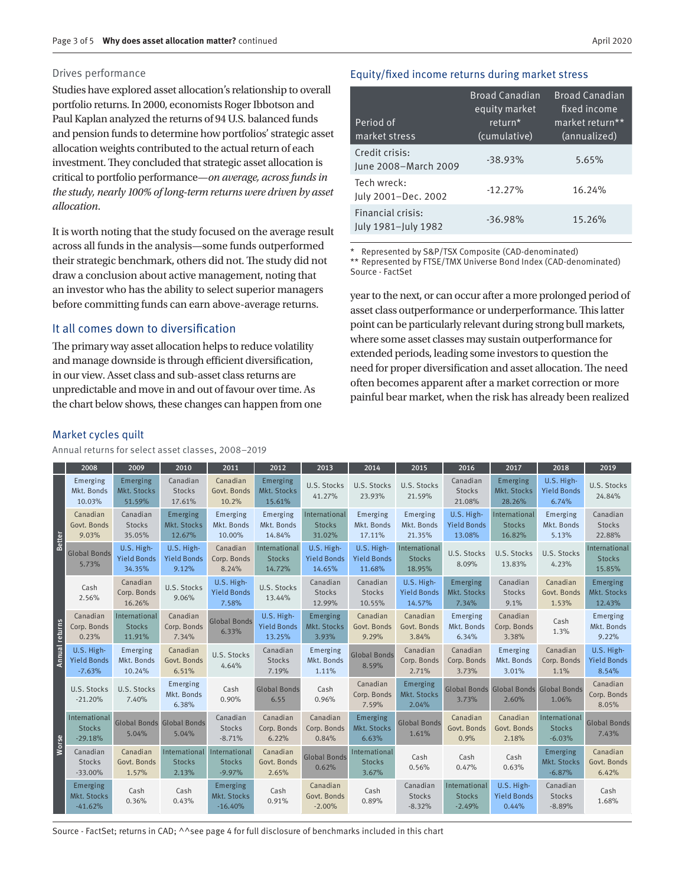#### Drives performance

Studies have explored asset allocation's relationship to overall portfolio returns. In 2000, economists Roger Ibbotson and Paul Kaplan analyzed the returns of 94 U.S. balanced funds and pension funds to determine how portfolios' strategic asset allocation weights contributed to the actual return of each investment. They concluded that strategic asset allocation is critical to portfolio performance—*on average, across funds in the study, nearly 100% of long-term returns were driven by asset allocation*.

It is worth noting that the study focused on the average result across all funds in the analysis—some funds outperformed their strategic benchmark, others did not. The study did not draw a conclusion about active management, noting that an investor who has the ability to select superior managers before committing funds can earn above-average returns.

#### It all comes down to diversification

The primary way asset allocation helps to reduce volatility and manage downside is through efficient diversification, in our view. Asset class and sub-asset class returns are unpredictable and move in and out of favour over time. As the chart below shows, these changes can happen from one

#### Equity/fixed income returns during market stress

| Period of<br>market stress               | <b>Broad Canadian</b><br>equity market<br>return*<br>(cumulative) | <b>Broad Canadian</b><br>fixed income<br>market return**<br>(annualized) |
|------------------------------------------|-------------------------------------------------------------------|--------------------------------------------------------------------------|
| Credit crisis:<br>June 2008-March 2009   | $-38.93%$                                                         | 5.65%                                                                    |
| Tech wreck:<br>July 2001-Dec. 2002       | $-12.27%$                                                         | 16.24%                                                                   |
| Financial crisis:<br>July 1981-July 1982 | $-36.98%$                                                         | 15.26%                                                                   |

\* Represented by S&P/TSX Composite (CAD-denominated) \*\* Represented by FTSE/TMX Universe Bond Index (CAD-denominated) Source - FactSet

year to the next, or can occur after a more prolonged period of asset class outperformance or underperformance. This latter point can be particularly relevant during strong bull markets, where some asset classes may sustain outperformance for extended periods, leading some investors to question the need for proper diversification and asset allocation. The need often becomes apparent after a market correction or more painful bear market, when the risk has already been realized

#### Market cycles quilt

|                          | 2008                                         | 2009                                       | 2010                                      | 2011                                       | 2012                                       | 2013                                       | 2014                                       | 2015                                       | 2016                                       | 2017                                      | 2018                                       | 2019                                      |
|--------------------------|----------------------------------------------|--------------------------------------------|-------------------------------------------|--------------------------------------------|--------------------------------------------|--------------------------------------------|--------------------------------------------|--------------------------------------------|--------------------------------------------|-------------------------------------------|--------------------------------------------|-------------------------------------------|
| Better<br>Annual returns | Emerging<br>Mkt. Bonds<br>10.03%             | Emerging<br>Mkt. Stocks<br>51.59%          | Canadian<br><b>Stocks</b><br>17.61%       | Canadian<br>Govt. Bonds<br>10.2%           | Emerging<br>Mkt. Stocks<br>15.61%          | U.S. Stocks<br>41.27%                      | U.S. Stocks<br>23.93%                      | U.S. Stocks<br>21.59%                      | Canadian<br><b>Stocks</b><br>21.08%        | Emerging<br>Mkt. Stocks<br>28.26%         | U.S. High-<br><b>Yield Bonds</b><br>6.74%  | U.S. Stocks<br>24.84%                     |
|                          | Canadian<br>Govt. Bonds<br>9.03%             | Canadian<br><b>Stocks</b><br>35.05%        | Emerging<br>Mkt. Stocks<br>12.67%         | Emerging<br>Mkt. Bonds<br>10.00%           | Emerging<br>Mkt. Bonds<br>14.84%           | International<br><b>Stocks</b><br>31.02%   | Emerging<br>Mkt. Bonds<br>17.11%           | Emerging<br>Mkt. Bonds<br>21.35%           | U.S. High-<br><b>Yield Bonds</b><br>13.08% | International<br><b>Stocks</b><br>16.82%  | Emerging<br>Mkt. Bonds<br>5.13%            | Canadian<br><b>Stocks</b><br>22.88%       |
|                          | <b>Global Bonds</b><br>5.73%                 | U.S. High-<br><b>Yield Bonds</b><br>34.35% | U.S. High-<br><b>Yield Bonds</b><br>9.12% | Canadian<br>Corp. Bonds<br>8.24%           | International<br><b>Stocks</b><br>14.72%   | U.S. High-<br><b>Yield Bonds</b><br>14.65% | U.S. High-<br><b>Yield Bonds</b><br>11.68% | International<br><b>Stocks</b><br>18.95%   | U.S. Stocks<br>8.09%                       | U.S. Stocks<br>13.83%                     | U.S. Stocks<br>4.23%                       | International<br><b>Stocks</b><br>15.85%  |
|                          | Cash<br>2.56%                                | Canadian<br>Corp. Bonds<br>16.26%          | U.S. Stocks<br>9.06%                      | U.S. High-<br><b>Yield Bonds</b><br>7.58%  | U.S. Stocks<br>13.44%                      | Canadian<br><b>Stocks</b><br>12.99%        | Canadian<br><b>Stocks</b><br>10.55%        | U.S. High-<br><b>Yield Bonds</b><br>14.57% | Emerging<br>Mkt. Stocks<br>7.34%           | Canadian<br><b>Stocks</b><br>9.1%         | Canadian<br>Govt. Bonds<br>1.53%           | Emerging<br>Mkt. Stocks<br>12.43%         |
|                          | Canadian<br>Corp. Bonds<br>0.23%             | International<br><b>Stocks</b><br>11.91%   | Canadian<br>Corp. Bonds<br>7.34%          | <b>Global Bonds</b><br>6.33%               | U.S. High-<br><b>Yield Bonds</b><br>13.25% | Emerging<br>Mkt. Stocks<br>3.93%           | Canadian<br>Govt. Bonds<br>9.29%           | Canadian<br>Govt. Bonds<br>3.84%           | Emerging<br>Mkt. Bonds<br>6.34%            | Canadian<br>Corp. Bonds<br>3.38%          | Cash<br>1.3%                               | Emerging<br>Mkt. Bonds<br>9.22%           |
|                          | U.S. High-<br><b>Yield Bonds</b><br>$-7.63%$ | Emerging<br>Mkt. Bonds<br>10.24%           | Canadian<br>Govt. Bonds<br>6.51%          | U.S. Stocks<br>4.64%                       | Canadian<br><b>Stocks</b><br>7.19%         | Emerging<br>Mkt. Bonds<br>1.11%            | <b>Global Bonds</b><br>8.59%               | Canadian<br>Corp. Bonds<br>2.71%           | Canadian<br>Corp. Bonds<br>3.73%           | Emerging<br>Mkt. Bonds<br>3.01%           | Canadian<br>Corp. Bonds<br>1.1%            | U.S. High-<br><b>Yield Bonds</b><br>8.54% |
| Worse                    | U.S. Stocks<br>$-21.20%$                     | U.S. Stocks<br>7.40%                       | Emerging<br>Mkt. Bonds<br>6.38%           | Cash<br>0.90%                              | <b>Global Bonds</b><br>6.55                | Cash<br>0.96%                              | Canadian<br>Corp. Bonds<br>7.59%           | Emerging<br>Mkt. Stocks<br>2.04%           | <b>Global Bonds Global Bonds</b><br>3.73%  | 2.60%                                     | <b>Global Bonds</b><br>1.06%               | Canadian<br>Corp. Bonds<br>8.05%          |
|                          | International<br><b>Stocks</b><br>$-29.18%$  | Global Bonds Global Bonds<br>5.04%         | 5.04%                                     | Canadian<br><b>Stocks</b><br>$-8.71%$      | Canadian<br>Corp. Bonds<br>6.22%           | Canadian<br>Corp. Bonds<br>0.84%           | Emerging<br>Mkt. Stocks<br>6.63%           | <b>Global Bonds</b><br>1.61%               | Canadian<br>Govt. Bonds<br>0.9%            | Canadian<br>Govt. Bonds<br>2.18%          | International<br><b>Stocks</b><br>$-6.03%$ | <b>Global Bonds</b><br>7.43%              |
|                          | Canadian<br><b>Stocks</b><br>$-33.00%$       | Canadian<br>Govt. Bonds<br>1.57%           | International<br><b>Stocks</b><br>2.13%   | International<br><b>Stocks</b><br>$-9.97%$ | Canadian<br>Govt. Bonds<br>2.65%           | <b>Global Bonds</b><br>0.62%               | International<br><b>Stocks</b><br>3.67%    | Cash<br>0.56%                              | Cash<br>0.47%                              | Cash<br>0.63%                             | Emerging<br>Mkt. Stocks<br>$-6.87%$        | Canadian<br>Govt. Bonds<br>6.42%          |
|                          | Emerging<br>Mkt. Stocks<br>$-41.62%$         | Cash<br>0.36%                              | Cash<br>0.43%                             | Emerging<br>Mkt. Stocks<br>$-16.40%$       | Cash<br>0.91%                              | Canadian<br>Govt. Bonds<br>$-2.00%$        | Cash<br>0.89%                              | Canadian<br><b>Stocks</b><br>$-8.32%$      | International<br><b>Stocks</b><br>$-2.49%$ | U.S. High-<br><b>Yield Bonds</b><br>0.44% | Canadian<br><b>Stocks</b><br>$-8.89%$      | Cash<br>1.68%                             |

Source - FactSet; returns in CAD; ^^see page 4 for full disclosure of benchmarks included in this chart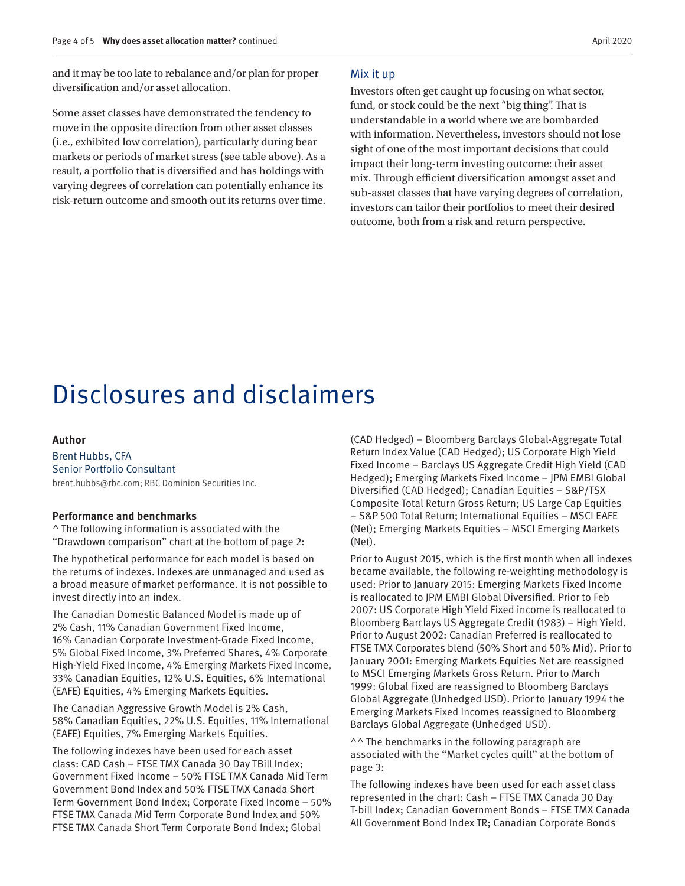<span id="page-3-0"></span>and it may be too late to rebalance and/or plan for proper diversification and/or asset allocation.

Some asset classes have demonstrated the tendency to move in the opposite direction from other asset classes (i.e., exhibited low correlation), particularly during bear markets or periods of market stress (see table above). As a result, a portfolio that is diversified and has holdings with varying degrees of correlation can potentially enhance its risk-return outcome and smooth out its returns over time.

#### Mix it up

Investors often get caught up focusing on what sector, fund, or stock could be the next "big thing". That is understandable in a world where we are bombarded with information. Nevertheless, investors should not lose sight of one of the most important decisions that could impact their long-term investing outcome: their asset mix. Through efficient diversification amongst asset and sub-asset classes that have varying degrees of correlation, investors can tailor their portfolios to meet their desired outcome, both from a risk and return perspective.

## Disclosures and disclaimers

#### **Author**

Brent Hubbs, CFA Senior Portfolio Consultant brent.hubbs@rbc.com; RBC Dominion Securities Inc.

#### **Performance and benchmarks**

^ The following information is associated with the "Drawdown comparison" chart at the bottom of page 2:

The hypothetical performance for each model is based on the returns of indexes. Indexes are unmanaged and used as a broad measure of market performance. It is not possible to invest directly into an index.

The Canadian Domestic Balanced Model is made up of 2% Cash, 11% Canadian Government Fixed Income, 16% Canadian Corporate Investment-Grade Fixed Income, 5% Global Fixed Income, 3% Preferred Shares, 4% Corporate High-Yield Fixed Income, 4% Emerging Markets Fixed Income, 33% Canadian Equities, 12% U.S. Equities, 6% International (EAFE) Equities, 4% Emerging Markets Equities.

The Canadian Aggressive Growth Model is 2% Cash, 58% Canadian Equities, 22% U.S. Equities, 11% International (EAFE) Equities, 7% Emerging Markets Equities.

The following indexes have been used for each asset class: CAD Cash – FTSE TMX Canada 30 Day TBill Index; Government Fixed Income – 50% FTSE TMX Canada Mid Term Government Bond Index and 50% FTSE TMX Canada Short Term Government Bond Index; Corporate Fixed Income – 50% FTSE TMX Canada Mid Term Corporate Bond Index and 50% FTSE TMX Canada Short Term Corporate Bond Index; Global

(CAD Hedged) – Bloomberg Barclays Global-Aggregate Total Return Index Value (CAD Hedged); US Corporate High Yield Fixed Income – Barclays US Aggregate Credit High Yield (CAD Hedged); Emerging Markets Fixed Income – JPM EMBI Global Diversified (CAD Hedged); Canadian Equities – S&P/TSX Composite Total Return Gross Return; US Large Cap Equities – S&P 500 Total Return; International Equities – MSCI EAFE (Net); Emerging Markets Equities – MSCI Emerging Markets (Net).

Prior to August 2015, which is the first month when all indexes became available, the following re-weighting methodology is used: Prior to January 2015: Emerging Markets Fixed Income is reallocated to JPM EMBI Global Diversified. Prior to Feb 2007: US Corporate High Yield Fixed income is reallocated to Bloomberg Barclays US Aggregate Credit (1983) – High Yield. Prior to August 2002: Canadian Preferred is reallocated to FTSE TMX Corporates blend (50% Short and 50% Mid). Prior to January 2001: Emerging Markets Equities Net are reassigned to MSCI Emerging Markets Gross Return. Prior to March 1999: Global Fixed are reassigned to Bloomberg Barclays Global Aggregate (Unhedged USD). Prior to January 1994 the Emerging Markets Fixed Incomes reassigned to Bloomberg Barclays Global Aggregate (Unhedged USD).

^^ The benchmarks in the following paragraph are associated with the "Market cycles quilt" at the bottom of page 3:

The following indexes have been used for each asset class represented in the chart: Cash – FTSE TMX Canada 30 Day T-bill Index; Canadian Government Bonds – FTSE TMX Canada All Government Bond Index TR; Canadian Corporate Bonds